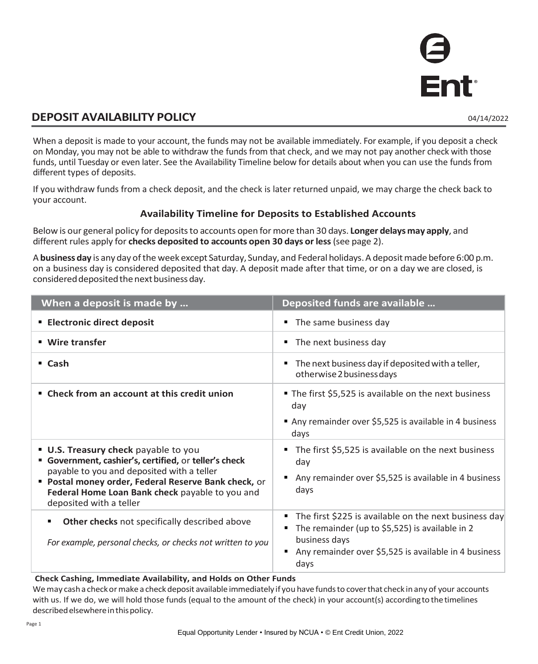## **DEPOSIT AVAILABILITY POLICY** 04/14/2022

When a deposit is made to your account, the funds may not be available immediately. For example, if you deposit a check on Monday, you may not be able to withdraw the funds from that check, and we may not pay another check with those funds, until Tuesday or even later. See the Availability Timeline below for details about when you can use the funds from different types of deposits.

If you withdraw funds from a check deposit, and the check is later returned unpaid, we may charge the check back to your account.

## **Availability Timeline for Deposits to Established Accounts**

Below is our general policy for deposits to accounts open for more than 30 days. **Longer delays may apply**, and different rules apply for **checks deposited to accounts open 30 days or less** (see page 2).

A **business day** is any day of the week except Saturday, Sunday, and Federal holidays. A deposit made before 6:00 p.m. on a business day is considered deposited that day. A deposit made after that time, or on a day we are closed, is considered deposited the next business day.

| When a deposit is made by                                                                                                                                                                                                                                                              | Deposited funds are available                                                                                                                                                              |
|----------------------------------------------------------------------------------------------------------------------------------------------------------------------------------------------------------------------------------------------------------------------------------------|--------------------------------------------------------------------------------------------------------------------------------------------------------------------------------------------|
| <b>Electronic direct deposit</b>                                                                                                                                                                                                                                                       | • The same business day                                                                                                                                                                    |
| ■ Wire transfer                                                                                                                                                                                                                                                                        | • The next business day                                                                                                                                                                    |
| $\blacksquare$ Cash                                                                                                                                                                                                                                                                    | The next business day if deposited with a teller,<br>otherwise 2 business days                                                                                                             |
| " Check from an account at this credit union                                                                                                                                                                                                                                           | The first \$5,525 is available on the next business<br>day<br>Any remainder over \$5,525 is available in 4 business<br>days                                                                |
| <b>U.S. Treasury check</b> payable to you<br>" Government, cashier's, certified, or teller's check<br>payable to you and deposited with a teller<br>" Postal money order, Federal Reserve Bank check, or<br>Federal Home Loan Bank check payable to you and<br>deposited with a teller | The first \$5,525 is available on the next business<br>day<br>Any remainder over \$5,525 is available in 4 business<br>days                                                                |
| Other checks not specifically described above<br>٠<br>For example, personal checks, or checks not written to you                                                                                                                                                                       | The first \$225 is available on the next business day<br>The remainder (up to \$5,525) is available in 2<br>business days<br>Any remainder over \$5,525 is available in 4 business<br>days |

### **Check Cashing, Immediate Availability, and Holds on Other Funds**

We may cash a check or make a check deposit available immediately if you have funds to cover that check in any of your accounts with us. If we do, we will hold those funds (equal to the amount of the check) in your account(s) according to the timelines described elsewhere in this policy.